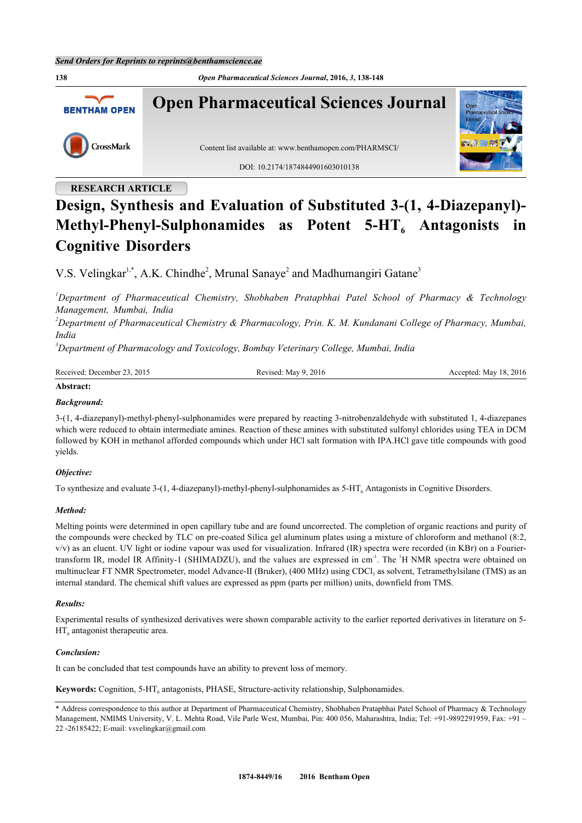

# **RESEARCH ARTICLE**

# **Design, Synthesis and Evaluation of Substituted 3-(1, 4-Diazepanyl)- Methyl-Phenyl-Sulphonamides as Potent 5-HT<sup>6</sup> Antagonists in Cognitive Disorders**

V.S. Velingkar<sup>[1](#page-0-0),[\\*](#page-0-1)</sup>, A.K. Chindhe<sup>[2](#page-0-2)</sup>, Mrunal Sanaye<sup>2</sup> and Madhumangiri Gatane<sup>[3](#page-0-3)</sup>

<span id="page-0-0"></span>*<sup>1</sup>Department of Pharmaceutical Chemistry, Shobhaben Pratapbhai Patel School of Pharmacy & Technology Management, Mumbai, India*

<span id="page-0-2"></span>*<sup>2</sup>Department of Pharmaceutical Chemistry & Pharmacology, Prin. K. M. Kundanani College of Pharmacy, Mumbai, India*

<span id="page-0-3"></span>*<sup>3</sup>Department of Pharmacology and Toxicology, Bombay Veterinary College, Mumbai, India*

| Received<br>2015<br>. Jecember | 2016<br>-May<br>71 sed<br>в с | $\cdot$ 10 $\cdot$<br>≅nted .<br>∍∨lav<br>2016<br>$\sqrt{2}$ |
|--------------------------------|-------------------------------|--------------------------------------------------------------|
|                                |                               |                                                              |

# **Abstract:**

# *Background:*

3-(1, 4-diazepanyl)-methyl-phenyl-sulphonamides were prepared by reacting 3-nitrobenzaldehyde with substituted 1, 4-diazepanes which were reduced to obtain intermediate amines. Reaction of these amines with substituted sulfonyl chlorides using TEA in DCM followed by KOH in methanol afforded compounds which under HCl salt formation with IPA.HCl gave title compounds with good yields.

# *Objective:*

To synthesize and evaluate  $3-(1, 4$ -diazepanyl)-methyl-phenyl-sulphonamides as  $5-HT_6$  Antagonists in Cognitive Disorders.

## *Method:*

Melting points were determined in open capillary tube and are found uncorrected. The completion of organic reactions and purity of the compounds were checked by TLC on pre-coated Silica gel aluminum plates using a mixture of chloroform and methanol (8:2, v/v) as an eluent. UV light or iodine vapour was used for visualization. Infrared (IR) spectra were recorded (in KBr) on a Fouriertransform IR, model IR Affinity-1 (SHIMADZU), and the values are expressed in cm<sup>-1</sup>. The <sup>1</sup>H NMR spectra were obtained on multinuclear FT NMR Spectrometer, model Advance-II (Bruker), (400 MHz) using CDCl<sub>3</sub> as solvent, Tetramethylsilane (TMS) as an internal standard. The chemical shift values are expressed as ppm (parts per million) units, downfield from TMS.

## *Results:*

Experimental results of synthesized derivatives were shown comparable activity to the earlier reported derivatives in literature on 5-  $HT<sub>6</sub>$  antagonist therapeutic area.

## *Conclusion:*

It can be concluded that test compounds have an ability to prevent loss of memory.

Keywords: Cognition, 5-HT<sub>6</sub> antagonists, PHASE, Structure-activity relationship, Sulphonamides.

<span id="page-0-1"></span><sup>\*</sup> Address correspondence to this author at Department of Pharmaceutical Chemistry, Shobhaben Pratapbhai Patel School of Pharmacy & Technology Management, NMIMS University, V. L. Mehta Road, Vile Parle West, Mumbai, Pin: 400 056, Maharashtra, India; Tel: +91-9892291959, Fax: +91 – 22 -26185422; E-mail: [vsvelingkar@gmail.com](mailto:vsvelingkar@gmail.com)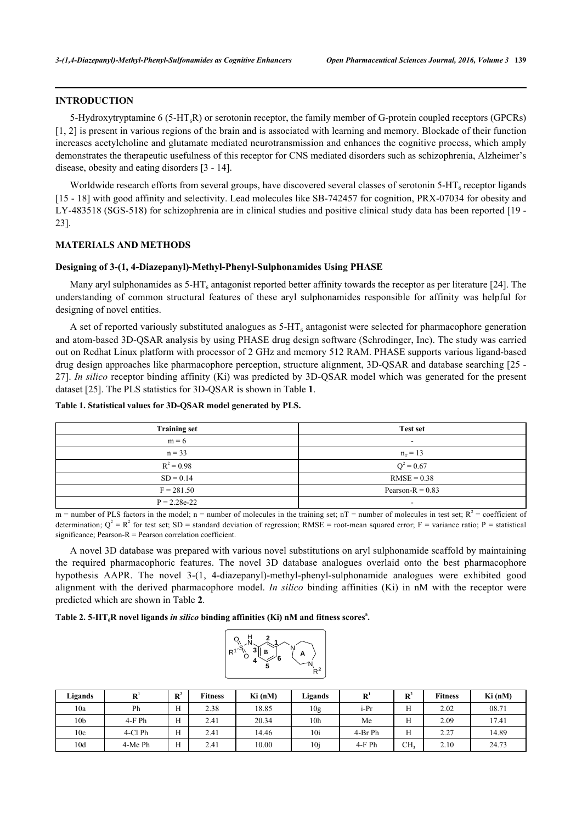## **INTRODUCTION**

5-Hydroxytryptamine 6 (5-HT<sub>6</sub>R) or serotonin receptor, the family member of G-protein coupled receptors (GPCRs) [\[1](#page-8-0), [2](#page-8-1)] is present in various regions of the brain and is associated with learning and memory. Blockade of their function increases acetylcholine and glutamate mediated neurotransmission and enhances the cognitive process, which amply demonstrates the therapeutic usefulness of this receptor for CNS mediated disorders such as schizophrenia, Alzheimer's disease, obesity and eating disorders [\[3](#page-8-2) - [14\]](#page-9-0).

Worldwide research efforts from several groups, have discovered several classes of serotonin  $5-HT_6$  receptor ligands [\[15](#page-9-1) - [18](#page-9-2)] with good affinity and selectivity. Lead molecules like SB-742457 for cognition, PRX-07034 for obesity and LY-483518 (SGS-518) for schizophrenia are in clinical studies and positive clinical study data has been reported [\[19](#page-9-3) - [23\]](#page-9-4).

## **MATERIALS AND METHODS**

#### **Designing of 3-(1, 4-Diazepanyl)-Methyl-Phenyl-Sulphonamides Using PHASE**

Many aryl sulphonamides as  $5-HT_6$  antagonist reported better affinity towards the receptor as per literature [[24\]](#page-9-5). The understanding of common structural features of these aryl sulphonamides responsible for affinity was helpful for designing of novel entities.

A set of reported variously substituted analogues as  $5-HT_6$  antagonist were selected for pharmacophore generation and atom-based 3D-QSAR analysis by using PHASE drug design software (Schrodinger, Inc). The study was carried out on Redhat Linux platform with processor of 2 GHz and memory 512 RAM. PHASE supports various ligand-based drug design approaches like pharmacophore perception, structure alignment, 3D-QSAR and database searching [[25](#page-9-6) - [27\]](#page-10-0). *In silico* receptor binding affinity (Ki) was predicted by 3D-QSAR model which was generated for the present dataset [\[25](#page-9-6)]. The PLS statistics for 3D-QSAR is shown in Table **[1](#page-1-0)**.

| <b>Training set</b> | <b>Test set</b>    |
|---------------------|--------------------|
| $m = 6$             | -                  |
| $n = 33$            | $n_r = 13$         |
| $R^2 = 0.98$        | $Q^2 = 0.67$       |
| $SD = 0.14$         | $RMSE = 0.38$      |
| $F = 281.50$        | Pearson-R = $0.83$ |
| $P = 2.28e-22$      |                    |

#### <span id="page-1-0"></span>**Table 1. Statistical values for 3D-QSAR model generated by PLS.**

m = number of PLS factors in the model; n = number of molecules in the training set;  $nT$  = number of molecules in test set;  $R^2$  = coefficient of determination;  $Q^2 = R^2$  for test set; SD = standard deviation of regression; RMSE = root-mean squared error; F = variance ratio; P = statistical significance; Pearson-R = Pearson correlation coefficient.

A novel 3D database was prepared with various novel substitutions on aryl sulphonamide scaffold by maintaining the required pharmacophoric features. The novel 3D database analogues overlaid onto the best pharmacophore hypothesis AAPR. The novel 3-(1, 4-diazepanyl)-methyl-phenyl-sulphonamide analogues were exhibited good alignment with the derived pharmacophore model. *In silico* binding affinities (Ki) in nM with the receptor were predicted which are shown in Table **[2](#page-1-1)**.

<span id="page-1-1"></span>**Table 2. 5-HT6R novel ligands** *in silico* **binding affinities (Ki) nM and fitness scores<sup>a</sup> .**



| Ligands         | R       | ${\bf D}^2$<br>ĸ | <b>Fitness</b> | Ki(nM) | Ligands         | R       | $\mathbf{D}^2$<br>n | <b>Fitness</b> | Ki(nM) |
|-----------------|---------|------------------|----------------|--------|-----------------|---------|---------------------|----------------|--------|
| 10a             | Ph      | Н                | 2.38           | 18.85  | 10 <sub>g</sub> | i-Pr    | H                   | 2.02           | 08.71  |
| 10 <sub>b</sub> | $4-FPh$ | H                | 2.41           | 20.34  | 10h             | Me      | H                   | 2.09           | 17.41  |
| 10c             | 4-Cl Ph | H                | 2.41           | 14.46  | 10i             | 4-Br Ph | H                   | 2.27           | 14.89  |
| 10d             | 4-Me Ph | H                | 2.41           | 10.00  | 10 <sub>i</sub> | $4-FPh$ | CH,                 | 2.10           | 24.73  |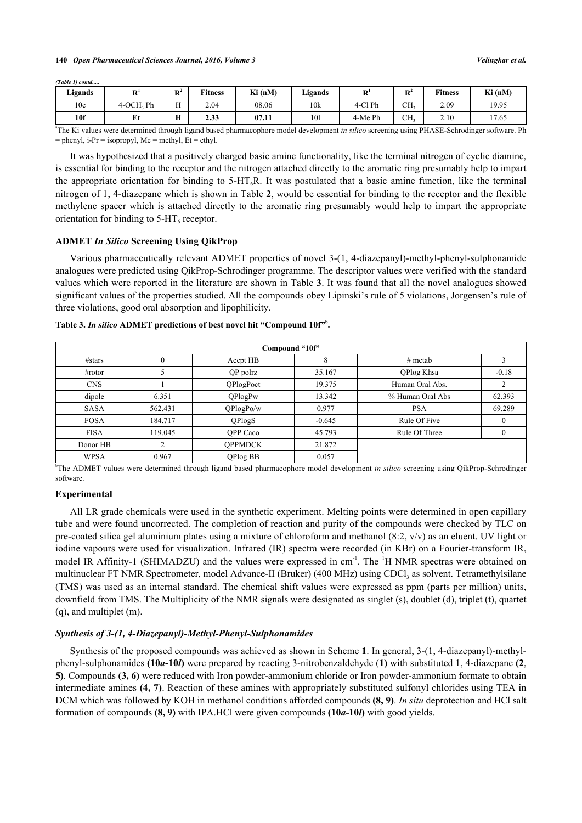*(Table 1) contd.....*

| Ligands         | m.           | $\mathbf{R}^2$ | <b>Titness</b> | Ki(nM) | $ -$<br>Ligands | n.<br>  | D.<br>A           | <b>Fitness</b> | Ki(nM) |
|-----------------|--------------|----------------|----------------|--------|-----------------|---------|-------------------|----------------|--------|
| 10 <sub>e</sub> | $4-OCH3 Ph$  | <b>TT</b><br>  | 2.04           | 08.06  | 10k             | 4-Cl Ph | CIT<br>◡ェェ        | 2.09           | 19.95  |
| 10f             | $\sim$<br>Ŀι | n<br>п         | 2.33           | 07.11  | 101             | 4-Me Ph | $\alpha$ t<br>◡ェェ | 2.10           | 17.65  |

a The Ki values were determined through ligand based pharmacophore model development *in silico* screening using PHASE-Schrodinger software. Ph  $=$  phenyl, i-Pr  $=$  isopropyl, Me  $=$  methyl, Et  $=$  ethyl.

It was hypothesized that a positively charged basic amine functionality, like the terminal nitrogen of cyclic diamine, is essential for binding to the receptor and the nitrogen attached directly to the aromatic ring presumably help to impart the appropriate orientation for binding to  $5-\text{HT}_6\text{R}$ . It was postulated that a basic amine function, like the terminal nitrogen of 1, 4-diazepane which is shown in Table **[2](#page-1-1)**, would be essential for binding to the receptor and the flexible methylene spacer which is attached directly to the aromatic ring presumably would help to impart the appropriate orientation for binding to  $5-HT_6$  receptor.

#### **ADMET** *In Silico* **Screening Using QikProp**

Various pharmaceutically relevant ADMET properties of novel 3-(1, 4-diazepanyl)-methyl-phenyl-sulphonamide analogues were predicted using QikProp-Schrodinger programme. The descriptor values were verified with the standard values which were reported in the literature are shown in Table **[3](#page-2-0)**. It was found that all the novel analogues showed significant values of the properties studied. All the compounds obey Lipinski's rule of 5 violations, Jorgensen's rule of three violations, good oral absorption and lipophilicity.

| Compound "10f" |         |                |          |                  |         |  |  |  |  |  |
|----------------|---------|----------------|----------|------------------|---------|--|--|--|--|--|
| #stars         | 0       | Accpt HB       | 8        | $#$ metab        |         |  |  |  |  |  |
| #rotor         |         | QP polrz       | 35.167   | QPlog Khsa       | $-0.18$ |  |  |  |  |  |
| <b>CNS</b>     |         | QPlogPoct      | 19.375   | Human Oral Abs.  |         |  |  |  |  |  |
| dipole         | 6.351   | QPlogPw        | 13.342   | % Human Oral Abs | 62.393  |  |  |  |  |  |
| <b>SASA</b>    | 562.431 | QPlogPo/w      | 0.977    | <b>PSA</b>       | 69.289  |  |  |  |  |  |
| <b>FOSA</b>    | 184.717 | <b>QPlogS</b>  | $-0.645$ | Rule Of Five     |         |  |  |  |  |  |
| <b>FISA</b>    | 119.045 | OPP Caco       | 45.793   | Rule Of Three    |         |  |  |  |  |  |
| Donor HB       | ◠       | <b>OPPMDCK</b> | 21.872   |                  |         |  |  |  |  |  |
| <b>WPSA</b>    | 0.967   | QPlog BB       | 0.057    |                  |         |  |  |  |  |  |

<span id="page-2-0"></span>**Table 3.** *In silico* **ADMET predictions of best novel hit "Compound 10f"<sup>b</sup> .**

b The ADMET values were determined through ligand based pharmacophore model development *in silico* screening using QikProp-Schrodinger software.

#### **Experimental**

All LR grade chemicals were used in the synthetic experiment. Melting points were determined in open capillary tube and were found uncorrected. The completion of reaction and purity of the compounds were checked by TLC on pre-coated silica gel aluminium plates using a mixture of chloroform and methanol (8:2, v/v) as an eluent. UV light or iodine vapours were used for visualization. Infrared (IR) spectra were recorded (in KBr) on a Fourier-transform IR, model IR Affinity-1 (SHIMADZU) and the values were expressed in cm<sup>-1</sup>. The <sup>1</sup>H NMR spectras were obtained on multinuclear FT NMR Spectrometer, model Advance-II (Bruker) (400 MHz) using CDCl<sub>3</sub> as solvent. Tetramethylsilane (TMS) was used as an internal standard. The chemical shift values were expressed as ppm (parts per million) units, downfield from TMS. The Multiplicity of the NMR signals were designated as singlet (s), doublet (d), triplet (t), quartet (q), and multiplet (m).

#### *Synthesis of 3-(1, 4-Diazepanyl)-Methyl-Phenyl-Sulphonamides*

<span id="page-2-1"></span>Synthesis of the proposed compounds was achieved as shown in Scheme **[1](#page-2-1)**. In general, 3-(1, 4-diazepanyl)-methylphenyl-sulphonamides **(10***a***-10***l***)** were prepared by reacting 3-nitrobenzaldehyde (**1)** with substituted 1, 4-diazepane **(2**, **5)**. Compounds **(3, 6)** were reduced with Iron powder-ammonium chloride or Iron powder-ammonium formate to obtain intermediate amines **(4, 7)**. Reaction of these amines with appropriately substituted sulfonyl chlorides using TEA in DCM which was followed by KOH in methanol conditions afforded compounds **(8, 9)**. *In situ* deprotection and HCl salt formation of compounds **(8, 9)** with IPA.HCl were given compounds **(10***a***-10***l***)** with good yields.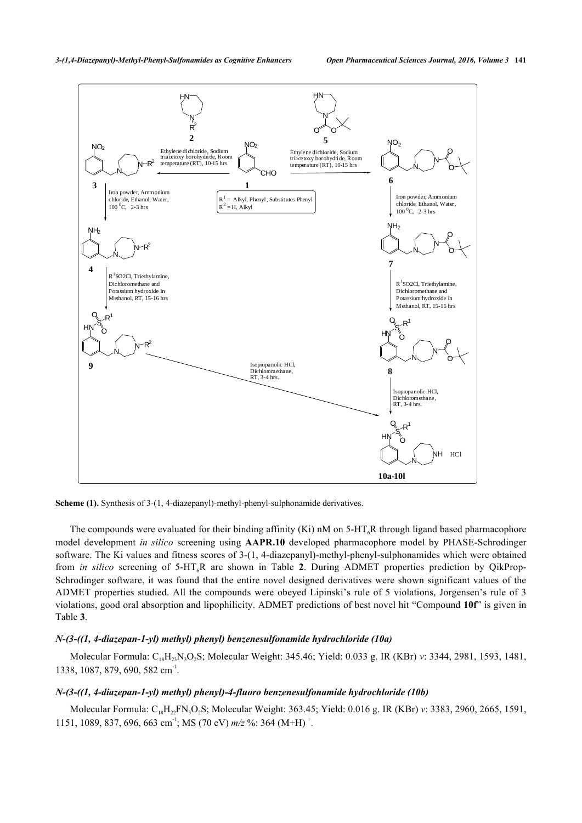

Scheme (1). Synthesis of 3-(1, 4-diazepanyl)-methyl-phenyl-sulphonamide derivatives.

The compounds were evaluated for their binding affinity (Ki) nM on  $5-\text{HT}_6\text{R}$  through ligand based pharmacophore model development *in silico* screening using **AAPR.10** developed pharmacophore model by PHASE-Schrodinger software. The Ki values and fitness scores of 3-(1, 4-diazepanyl)-methyl-phenyl-sulphonamides which were obtained from *in silico* screening of 5-HT6R are shown in Table**2**. During ADMET properties prediction by QikProp-Schrodinger software, it was found that the entire novel designed derivatives were shown significant values of the ADMET properties studied. All the compounds were obeyed Lipinski's rule of 5 violations, Jorgensen's rule of 3 violations, good oral absorption and lipophilicity. ADMET predictions of best novel hit "Compound **10f**" is given in Table **[3](#page-2-0)**.

# *N-(3-((1, 4-diazepan-1-yl) methyl) phenyl) benzenesulfonamide hydrochloride (10a)*

Molecular Formula: C<sub>18</sub>H<sub>23</sub>N<sub>3</sub>O<sub>2</sub>S; Molecular Weight: 345.46; Yield: 0.033 g. IR (KBr) *v*: 3344, 2981, 1593, 1481, 1338, 1087, 879, 690, 582 cm<sup>-1</sup>.

# *N-(3-((1, 4-diazepan-1-yl) methyl) phenyl)-4-fluoro benzenesulfonamide hydrochloride (10b)*

Molecular Formula: C<sub>18</sub>H<sub>22</sub>FN<sub>3</sub>O<sub>2</sub>S; Molecular Weight: 363.45; Yield: 0.016 g. IR (KBr) *v*: 3383, 2960, 2665, 1591, 1151, 1089, 837, 696, 663 cm<sup>-1</sup>; MS (70 eV)  $m/z$  %: 364 (M+H)<sup>+</sup>.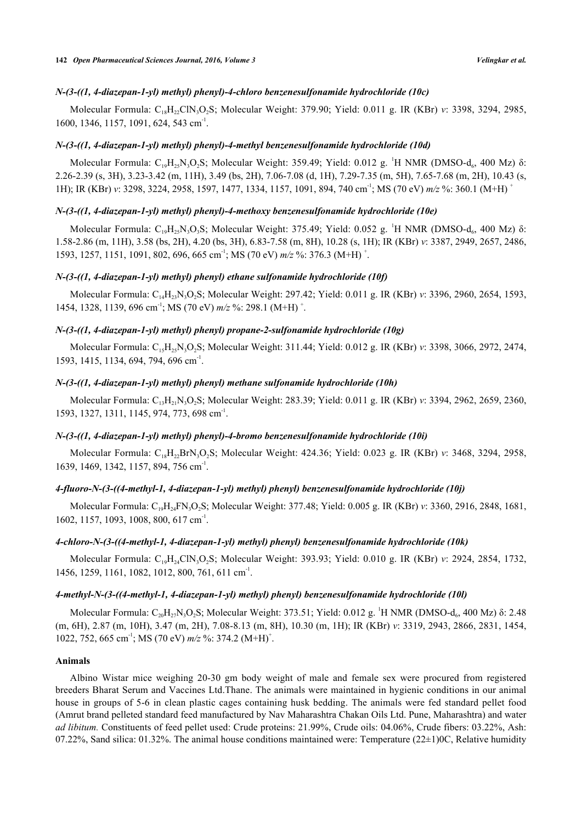## *N-(3-((1, 4-diazepan-1-yl) methyl) phenyl)-4-chloro benzenesulfonamide hydrochloride (10c)*

Molecular Formula: C<sub>18</sub>H<sub>22</sub>ClN<sub>3</sub>O<sub>2</sub>S; Molecular Weight: 379.90; Yield: 0.011 g. IR (KBr) *v*: 3398, 3294, 2985, 1600, 1346, 1157, 1091, 624, 543 cm<sup>-1</sup>.

#### *N-(3-((1, 4-diazepan-1-yl) methyl) phenyl)-4-methyl benzenesulfonamide hydrochloride (10d)*

Molecular Formula:  $C_{19}H_{25}N_3O_2S$ ; Molecular Weight: 359.49; Yield: 0.012 g.  ${}^{1}H$  NMR (DMSO-d<sub>6</sub>, 400 Mz)  $\delta$ : 2.26-2.39 (s, 3H), 3.23-3.42 (m, 11H), 3.49 (bs, 2H), 7.06-7.08 (d, 1H), 7.29-7.35 (m, 5H), 7.65-7.68 (m, 2H), 10.43 (s, 1H); IR (KBr) *v*: 3298, 3224, 2958, 1597, 1477, 1334, 1157, 1091, 894, 740 cm-1; MS (70 eV) *m/z* %: 360.1 (M+H) <sup>+</sup>

## *N-(3-((1, 4-diazepan-1-yl) methyl) phenyl)-4-methoxy benzenesulfonamide hydrochloride (10e)*

Molecular Formula:  $C_{19}H_{25}N_3O_3S$ ; Molecular Weight: 375.49; Yield: 0.052 g. <sup>1</sup>H NMR (DMSO-d<sub>6</sub>, 400 Mz) δ: 1.58-2.86 (m, 11H), 3.58 (bs, 2H), 4.20 (bs, 3H), 6.83-7.58 (m, 8H), 10.28 (s, 1H); IR (KBr) *v*: 3387, 2949, 2657, 2486, 1593, 1257, 1151, 1091, 802, 696, 665 cm<sup>-1</sup>; MS (70 eV)  $m/z$  %: 376.3 (M+H)<sup>+</sup>.

#### *N-(3-((1, 4-diazepan-1-yl) methyl) phenyl) ethane sulfonamide hydrochloride (10f)*

Molecular Formula: C14H23N3O2S; Molecular Weight: 297.42; Yield: 0.011 g. IR (KBr) *v*: 3396, 2960, 2654, 1593, 1454, 1328, 1139, 696 cm<sup>-1</sup>; MS (70 eV)  $m/z$  %: 298.1 (M+H)<sup>+</sup>.

## *N-(3-((1, 4-diazepan-1-yl) methyl) phenyl) propane-2-sulfonamide hydrochloride (10g)*

Molecular Formula: C15H25N3O2S; Molecular Weight: 311.44; Yield: 0.012 g. IR (KBr) *v*: 3398, 3066, 2972, 2474, 1593, 1415, 1134, 694, 794, 696 cm<sup>-1</sup>.

## *N-(3-((1, 4-diazepan-1-yl) methyl) phenyl) methane sulfonamide hydrochloride (10h)*

Molecular Formula: C13H21N3O2S; Molecular Weight: 283.39; Yield: 0.011 g. IR (KBr) *v*: 3394, 2962, 2659, 2360, 1593, 1327, 1311, 1145, 974, 773, 698 cm<sup>-1</sup>.

## *N-(3-((1, 4-diazepan-1-yl) methyl) phenyl)-4-bromo benzenesulfonamide hydrochloride (10i)*

Molecular Formula: C<sub>18</sub>H<sub>22</sub>BrN<sub>3</sub>O<sub>2</sub>S; Molecular Weight: 424.36; Yield: 0.023 g. IR (KBr) *v*: 3468, 3294, 2958, 1639, 1469, 1342, 1157, 894, 756 cm<sup>-1</sup>.

# *4-fluoro-N-(3-((4-methyl-1, 4-diazepan-1-yl) methyl) phenyl) benzenesulfonamide hydrochloride (10j)*

Molecular Formula: C19H24FN3O2S; Molecular Weight: 377.48; Yield: 0.005 g. IR (KBr) *v*: 3360, 2916, 2848, 1681, 1602, 1157, 1093, 1008, 800, 617 cm<sup>-1</sup>.

#### *4-chloro-N-(3-((4-methyl-1, 4-diazepan-1-yl) methyl) phenyl) benzenesulfonamide hydrochloride (10k)*

Molecular Formula: C19H24ClN3O2S; Molecular Weight: 393.93; Yield: 0.010 g. IR (KBr) *v*: 2924, 2854, 1732, 1456, 1259, 1161, 1082, 1012, 800, 761, 611 cm<sup>-1</sup>.

#### *4-methyl-N-(3-((4-methyl-1, 4-diazepan-1-yl) methyl) phenyl) benzenesulfonamide hydrochloride (10l)*

Molecular Formula:  $C_{20}H_{27}N_3O_2S$ ; Molecular Weight: 373.51; Yield: 0.012 g. <sup>1</sup>H NMR (DMSO-d<sub>6</sub>, 400 Mz) δ: 2.48 (m, 6H), 2.87 (m, 10H), 3.47 (m, 2H), 7.08-8.13 (m, 8H), 10.30 (m, 1H); IR (KBr) *v*: 3319, 2943, 2866, 2831, 1454, 1022, 752, 665 cm<sup>-1</sup>; MS (70 eV)  $m/z$  %: 374.2 (M+H)<sup>+</sup>.

## **Animals**

Albino Wistar mice weighing 20-30 gm body weight of male and female sex were procured from registered breeders Bharat Serum and Vaccines Ltd.Thane. The animals were maintained in hygienic conditions in our animal house in groups of 5-6 in clean plastic cages containing husk bedding. The animals were fed standard pellet food (Amrut brand pelleted standard feed manufactured by Nav Maharashtra Chakan Oils Ltd. Pune, Maharashtra) and water *ad libitum.* Constituents of feed pellet used: Crude proteins: 21.99%, Crude oils: 04.06%, Crude fibers: 03.22%, Ash: 07.22%, Sand silica: 01.32%. The animal house conditions maintained were: Temperature  $(22\pm 1)0C$ , Relative humidity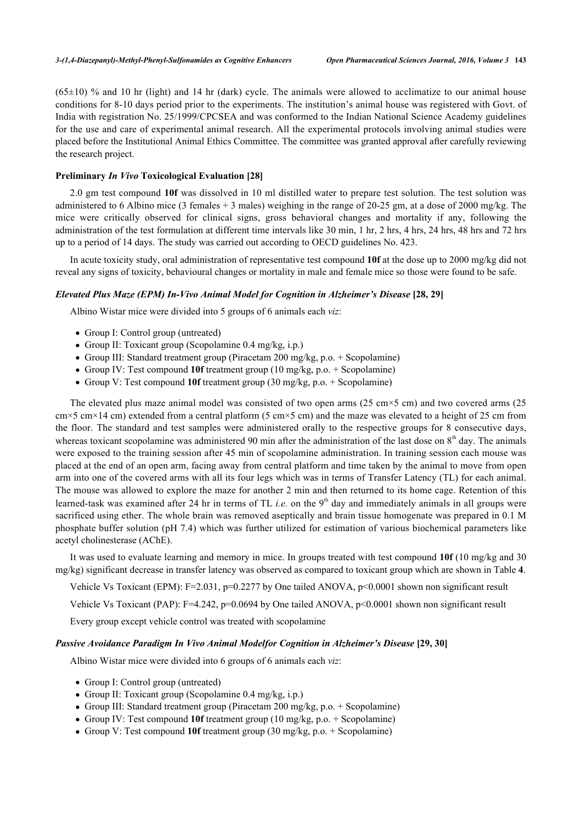$(65\pm10)$  % and 10 hr (light) and 14 hr (dark) cycle. The animals were allowed to acclimatize to our animal house conditions for 8-10 days period prior to the experiments. The institution's animal house was registered with Govt. of India with registration No. 25/1999/CPCSEA and was conformed to the Indian National Science Academy guidelines for the use and care of experimental animal research. All the experimental protocols involving animal studies were placed before the Institutional Animal Ethics Committee. The committee was granted approval after carefully reviewing the research project.

# **Preliminary** *In Vivo* **Toxicological Evaluation [[28\]](#page-10-1)**

2.0 gm test compound **10f** was dissolved in 10 ml distilled water to prepare test solution. The test solution was administered to 6 Albino mice (3 females + 3 males) weighing in the range of 20-25 gm, at a dose of 2000 mg/kg. The mice were critically observed for clinical signs, gross behavioral changes and mortality if any, following the administration of the test formulation at different time intervals like 30 min, 1 hr, 2 hrs, 4 hrs, 24 hrs, 48 hrs and 72 hrs up to a period of 14 days. The study was carried out according to OECD guidelines No. 423.

In acute toxicity study, oral administration of representative test compound **10f** at the dose up to 2000 mg/kg did not reveal any signs of toxicity, behavioural changes or mortality in male and female mice so those were found to be safe.

# *Elevated Plus Maze (EPM) In-Vivo Animal Model for Cognition in Alzheimer's Disease* **[[28,](#page-10-1) [29\]](#page-10-2)**

Albino Wistar mice were divided into 5 groups of 6 animals each *viz*:

- Group I: Control group (untreated)
- Group II: Toxicant group (Scopolamine  $0.4 \text{ mg/kg}, i.p.)$
- Group III: Standard treatment group (Piracetam 200 mg/kg, p.o. + Scopolamine)
- Group IV: Test compound **10f** treatment group (10 mg/kg, p.o. + Scopolamine)
- Group V: Test compound **10f** treatment group (30 mg/kg, p.o. + Scopolamine)

The elevated plus maze animal model was consisted of two open arms  $(25 \text{ cm} \times 5 \text{ cm})$  and two covered arms  $(25 \text{ cm} \times 5 \text{ cm})$  $cm \times 5$  cm $\times 14$  cm) extended from a central platform (5 cm $\times$ 5 cm) and the maze was elevated to a height of 25 cm from the floor. The standard and test samples were administered orally to the respective groups for 8 consecutive days, whereas toxicant scopolamine was administered 90 min after the administration of the last dose on  $8<sup>th</sup>$  day. The animals were exposed to the training session after 45 min of scopolamine administration. In training session each mouse was placed at the end of an open arm, facing away from central platform and time taken by the animal to move from open arm into one of the covered arms with all its four legs which was in terms of Transfer Latency (TL) for each animal. The mouse was allowed to explore the maze for another 2 min and then returned to its home cage. Retention of this learned-task was examined after 24 hr in terms of TL *i.e.* on the  $9<sup>th</sup>$  day and immediately animals in all groups were sacrificed using ether. The whole brain was removed aseptically and brain tissue homogenate was prepared in 0.1 M phosphate buffer solution (pH 7.4) which was further utilized for estimation of various biochemical parameters like acetyl cholinesterase (AChE).

It was used to evaluate learning and memory in mice. In groups treated with test compound **10f** (10 mg/kg and 30 mg/kg) significant decrease in transfer latency was observed as compared to toxicant group which are shown in Table **[4](#page-5-0)**.

Vehicle Vs Toxicant (EPM): F=2.031, p=0.2277 by One tailed ANOVA, p<0.0001 shown non significant result

Vehicle Vs Toxicant (PAP): F=4.242, p=0.0694 by One tailed ANOVA, p<0.0001 shown non significant result

Every group except vehicle control was treated with scopolamine

### *Passive Avoidance Paradigm In Vivo Animal Modelfor Cognition in Alzheimer's Disease* **[[29,](#page-10-2) [30\]](#page-10-3)**

Albino Wistar mice were divided into 6 groups of 6 animals each *viz*:

- Group I: Control group (untreated)
- Group II: Toxicant group (Scopolamine 0.4 mg/kg, i.p.)
- Group III: Standard treatment group (Piracetam 200 mg/kg, p.o. + Scopolamine)
- Group IV: Test compound **10f** treatment group (10 mg/kg, p.o. + Scopolamine)
- <span id="page-5-0"></span>Group V: Test compound **10f** treatment group (30 mg/kg, p.o. + Scopolamine)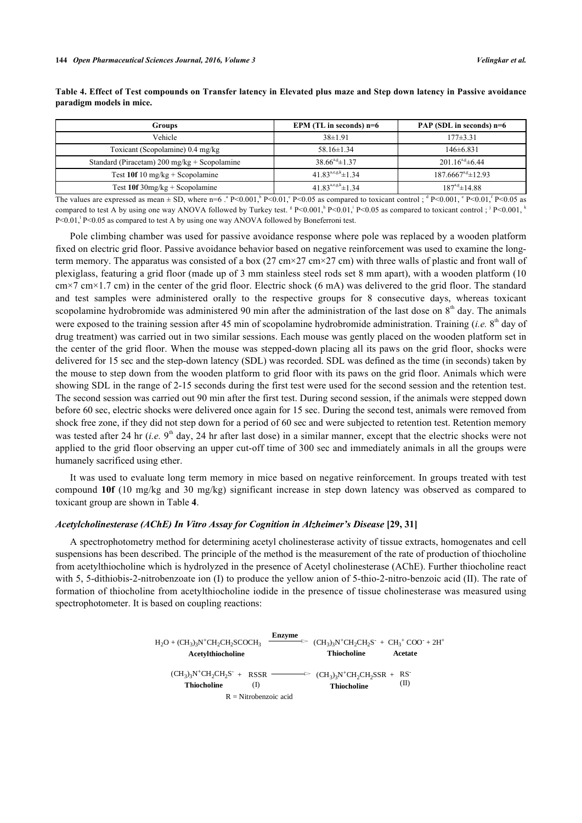| <b>Groups</b>                                                 | EPM (TL in seconds) $n=6$           | PAP (SDL in seconds) $n=6$ |
|---------------------------------------------------------------|-------------------------------------|----------------------------|
| Vehicle                                                       | $38\pm1.91$                         | $177\pm3.31$               |
| Toxicant (Scopolamine) 0.4 mg/kg                              | $58.16 \pm 1.34$                    | $146 \pm 6.831$            |
| Standard (Piracetam) $200 \text{ mg/kg} + \text{Scopolamine}$ | $38.66^{a.g} \pm 1.37$              | $201.16^{a,g} \pm 6.44$    |
| Test 10f 10 mg/kg + Scopolamine                               | 41.83 <sup>a,e,g,k</sup> $\pm$ 1.34 | $187.6667^{a,g}$ ± 12.93   |
| Test 10f $30mg/kg +$ Scopolamine                              | 41 $83^{a,e,g,k}$ ± 1 34            | $187^{a,g}$ ± 14.88        |

**Table 4. Effect of Test compounds on Transfer latency in Elevated plus maze and Step down latency in Passive avoidance paradigm models in mice.**

The values are expressed as mean  $\pm$  SD, where n=6  $\degree$  P<0.001, P<0.01, P <0.05 as compared to toxicant control ;  $\degree$  P<0.001,  $\degree$  P<0.01,  $\degree$  P<0.01, P <0.05 as compared to test A by using one way ANOVA followed by Turkey test. <sup>8</sup> P<0.001,<sup>h</sup> P<0.01,<sup>i</sup> P<0.05 as compared to toxicant control ; <sup>j</sup> P<0.001,<sup>h</sup>  $P \le 0.01$ ,  $P \le 0.05$  as compared to test A by using one way ANOVA followed by Boneferroni test.

Pole climbing chamber was used for passive avoidance response where pole was replaced by a wooden platform fixed on electric grid floor. Passive avoidance behavior based on negative reinforcement was used to examine the longterm memory. The apparatus was consisted of a box (27 cm×27 cm×27 cm) with three walls of plastic and front wall of plexiglass, featuring a grid floor (made up of 3 mm stainless steel rods set 8 mm apart), with a wooden platform (10  $cm \times 7$  cm $\times 1.7$  cm) in the center of the grid floor. Electric shock (6 mA) was delivered to the grid floor. The standard and test samples were administered orally to the respective groups for 8 consecutive days, whereas toxicant scopolamine hydrobromide was administered 90 min after the administration of the last dose on  $8<sup>th</sup>$  day. The animals were exposed to the training session after 45 min of scopolamine hydrobromide administration. Training (*i.e.* 8<sup>th</sup> day of drug treatment) was carried out in two similar sessions. Each mouse was gently placed on the wooden platform set in the center of the grid floor. When the mouse was stepped-down placing all its paws on the grid floor, shocks were delivered for 15 sec and the step-down latency (SDL) was recorded. SDL was defined as the time (in seconds) taken by the mouse to step down from the wooden platform to grid floor with its paws on the grid floor. Animals which were showing SDL in the range of 2-15 seconds during the first test were used for the second session and the retention test. The second session was carried out 90 min after the first test. During second session, if the animals were stepped down before 60 sec, electric shocks were delivered once again for 15 sec. During the second test, animals were removed from shock free zone, if they did not step down for a period of 60 sec and were subjected to retention test. Retention memory was tested after 24 hr (*i.e.* 9<sup>th</sup> day, 24 hr after last dose) in a similar manner, except that the electric shocks were not applied to the grid floor observing an upper cut-off time of 300 sec and immediately animals in all the groups were humanely sacrificed using ether.

It was used to evaluate long term memory in mice based on negative reinforcement. In groups treated with test compound **10f** (10 mg/kg and 30 mg/kg) significant increase in step down latency was observed as compared to toxicant group are shown in Table **[4](#page-5-0)**.

## *Acetylcholinesterase (AChE) In Vitro Assay for Cognition in Alzheimer's Disease* **[[29,](#page-10-2) [31\]](#page-10-4)**

A spectrophotometry method for determining acetyl cholinesterase activity of tissue extracts, homogenates and cell suspensions has been described. The principle of the method is the measurement of the rate of production of thiocholine from acetylthiocholine which is hydrolyzed in the presence of Acetyl cholinesterase (AChE). Further thiocholine react with 5, 5-dithiobis-2-nitrobenzoate ion (I) to produce the yellow anion of 5-thio-2-nitro-benzoic acid (II). The rate of formation of thiocholine from acetylthiocholine iodide in the presence of tissue cholinesterase was measured using spectrophotometer. It is based on coupling reactions:

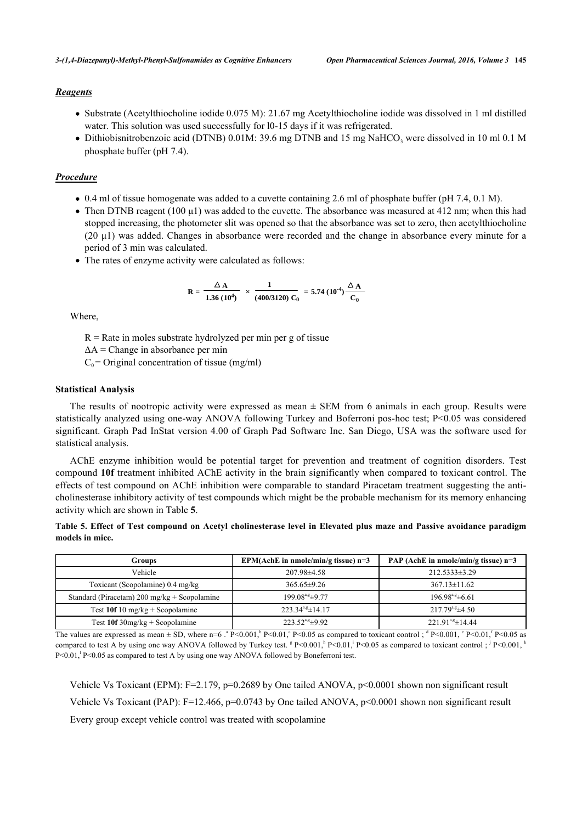# *Reagents*

- Substrate (Acetylthiocholine iodide 0.075 M): 21.67 mg Acetylthiocholine iodide was dissolved in 1 ml distilled water. This solution was used successfully for  $10-15$  days if it was refrigerated.
- Dithiobisnitrobenzoic acid (DTNB) 0.01M: 39.6 mg DTNB and 15 mg NaHCO<sub>3</sub> were dissolved in 10 ml 0.1 M phosphate buffer (pH 7.4).

# *Procedure*

- 0.4 ml of tissue homogenate was added to a cuvette containing 2.6 ml of phosphate buffer (pH 7.4, 0.1 M).
- Then DTNB reagent (100  $\mu$ 1) was added to the cuvette. The absorbance was measured at 412 nm; when this had stopped increasing, the photometer slit was opened so that the absorbance was set to zero, then acetylthiocholine (20 μ1) was added. Changes in absorbance were recorded and the change in absorbance every minute for a period of 3 min was calculated.
- The rates of enzyme activity were calculated as follows:

$$
R = \frac{\triangle A}{1.36 (10^4)} \times \frac{1}{(400/3120) C_0} = 5.74 (10^4) \frac{\triangle A}{C_0}
$$

Where,

 $R =$ Rate in moles substrate hydrolyzed per min per g of tissue

 $\Delta A$  = Change in absorbance per min

 $C_0$  = Original concentration of tissue (mg/ml)

#### **Statistical Analysis**

The results of nootropic activity were expressed as mean  $\pm$  SEM from 6 animals in each group. Results were statistically analyzed using one-way ANOVA following Turkey and Boferroni pos-hoc test; P<0.05 was considered significant. Graph Pad InStat version 4.00 of Graph Pad Software Inc. San Diego, USA was the software used for statistical analysis.

AChE enzyme inhibition would be potential target for prevention and treatment of cognition disorders. Test compound **10f** treatment inhibited AChE activity in the brain significantly when compared to toxicant control. The effects of test compound on AChE inhibition were comparable to standard Piracetam treatment suggesting the anticholinesterase inhibitory activity of test compounds which might be the probable mechanism for its memory enhancing activity which are shown in Table **[5](#page-7-0)**.

<span id="page-7-0"></span>

|                 |  |  | Table 5. Effect of Test compound on Acetyl cholinesterase level in Elevated plus maze and Passive avoidance paradigm |  |  |  |  |
|-----------------|--|--|----------------------------------------------------------------------------------------------------------------------|--|--|--|--|
| models in mice. |  |  |                                                                                                                      |  |  |  |  |

| Groups                                                        | EPM(AchE in nmole/min/g tissue) $n=3$ | PAP (AchE in nmole/min/g tissue) $n=3$ |  |  |
|---------------------------------------------------------------|---------------------------------------|----------------------------------------|--|--|
| Vehicle                                                       | $207.98 \pm 4.58$                     | $212.5333 \pm 3.29$                    |  |  |
| Toxicant (Scopolamine) 0.4 mg/kg                              | $365.65 \pm 9.26$                     | $367.13 \pm 11.62$                     |  |  |
| Standard (Piracetam) $200 \text{ mg/kg} + \text{Scopolamine}$ | $199.08^{a,g}$ ±9.77                  | $196.98^{\text{a.g}}\pm 6.61$          |  |  |
| Test 10f 10 mg/kg + Scopolamine                               | $223.34^{a,g}$ ± 14.17                | $217.79^{a,g}$ ± 4.50                  |  |  |
| Test 10f $30mg/kg +$ Scopolamine                              | $223.52^{a,g} \pm 9.92$               | $221.91^{a,g}$ ± 14.44                 |  |  |

The values are expressed as mean  $\pm$  SD, where n=6  $\degree$  P<0.001, P<0.01, P<0.05 as compared to toxicant control ;  $\degree$  P<0.001,  $\degree$  P<0.01,  $\degree$  P<0.01, P<0.05 as compared to test A by using one way ANOVA followed by Turkey test.  $P < 0.001$ ,  $P < 0.01$ ,  $P < 0.05$  as compared to toxicant control ;  $P < 0.001$ ,  $P < 0.001$ ,  $P \le 0.01$ ,  $P \le 0.05$  as compared to test A by using one way ANOVA followed by Boneferroni test.

Vehicle Vs Toxicant (EPM): F=2.179, p=0.2689 by One tailed ANOVA, p<0.0001 shown non significant result Vehicle Vs Toxicant (PAP): F=12.466, p=0.0743 by One tailed ANOVA, p<0.0001 shown non significant result Every group except vehicle control was treated with scopolamine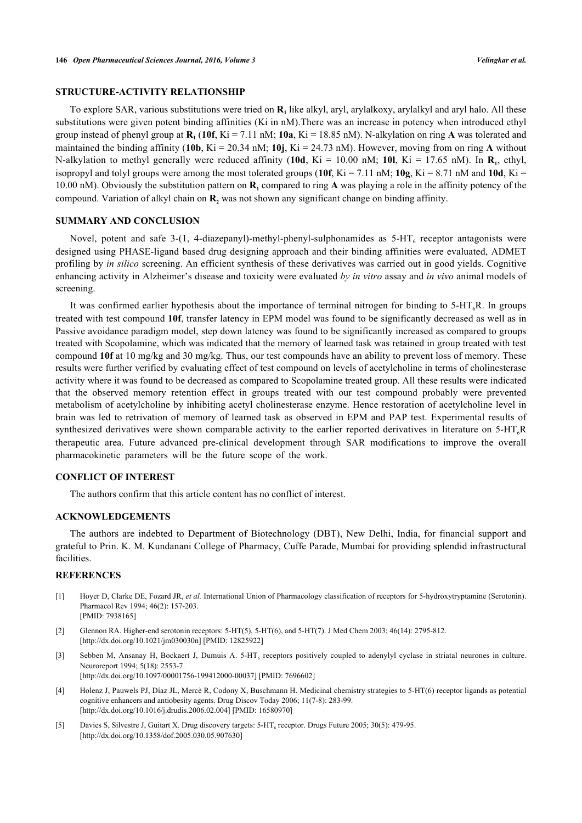## **STRUCTURE-ACTIVITY RELATIONSHIP**

To explore SAR, various substitutions were tried on  $R_1$  like alkyl, aryl, arylalkoxy, arylalkyl and aryl halo. All these substitutions were given potent binding affinities (Ki in nM).There was an increase in potency when introduced ethyl group instead of phenyl group at **R<sup>1</sup>** (**10f**, Ki = 7.11 nM; **10a**, Ki = 18.85 nM). N-alkylation on ring **A** was tolerated and maintained the binding affinity (10b, Ki = 20.34 nM; 10j, Ki = 24.73 nM). However, moving from on ring A without N-alkylation to methyl generally were reduced affinity (**10d**, Ki = 10.00 nM; **10l**, Ki = 17.65 nM). In **R<sup>1</sup>** , ethyl, isopropyl and tolyl groups were among the most tolerated groups  $(10f, Ki = 7.11 nM; 10g, Ki = 8.71 nM$  and  $10d, Ki =$ 10.00 nM). Obviously the substitution pattern on  $\mathbf{R}_1$  compared to ring  $\mathbf{A}$  was playing a role in the affinity potency of the compound. Variation of alkyl chain on **R<sup>2</sup>** was not shown any significant change on binding affinity.

## **SUMMARY AND CONCLUSION**

Novel, potent and safe 3-(1, 4-diazepanyl)-methyl-phenyl-sulphonamides as  $5-HT<sub>6</sub>$  receptor antagonists were designed using PHASE-ligand based drug designing approach and their binding affinities were evaluated, ADMET profiling by *in silico* screening. An efficient synthesis of these derivatives was carried out in good yields. Cognitive enhancing activity in Alzheimer's disease and toxicity were evaluated *by in vitro* assay and *in vivo* animal models of screening.

It was confirmed earlier hypothesis about the importance of terminal nitrogen for binding to  $5-HT<sub>6</sub>R$ . In groups treated with test compound **10f**, transfer latency in EPM model was found to be significantly decreased as well as in Passive avoidance paradigm model, step down latency was found to be significantly increased as compared to groups treated with Scopolamine, which was indicated that the memory of learned task was retained in group treated with test compound **10f** at 10 mg/kg and 30 mg/kg. Thus, our test compounds have an ability to prevent loss of memory. These results were further verified by evaluating effect of test compound on levels of acetylcholine in terms of cholinesterase activity where it was found to be decreased as compared to Scopolamine treated group. All these results were indicated that the observed memory retention effect in groups treated with our test compound probably were prevented metabolism of acetylcholine by inhibiting acetyl cholinesterase enzyme. Hence restoration of acetylcholine level in brain was led to retrivation of memory of learned task as observed in EPM and PAP test. Experimental results of synthesized derivatives were shown comparable activity to the earlier reported derivatives in literature on  $5-HT_6R$ therapeutic area. Future advanced pre-clinical development through SAR modifications to improve the overall pharmacokinetic parameters will be the future scope of the work.

# **CONFLICT OF INTEREST**

The authors confirm that this article content has no conflict of interest.

#### **ACKNOWLEDGEMENTS**

The authors are indebted to Department of Biotechnology (DBT), New Delhi, India, for financial support and grateful to Prin. K. M. Kundanani College of Pharmacy, Cuffe Parade, Mumbai for providing splendid infrastructural facilities.

#### **REFERENCES**

- <span id="page-8-0"></span>[1] Hoyer D, Clarke DE, Fozard JR, *et al.* International Union of Pharmacology classification of receptors for 5-hydroxytryptamine (Serotonin). Pharmacol Rev 1994; 46(2): 157-203. [PMID: [7938165\]](http://www.ncbi.nlm.nih.gov/pubmed/7938165)
- <span id="page-8-1"></span>[2] Glennon RA. Higher-end serotonin receptors: 5-HT(5), 5-HT(6), and 5-HT(7). J Med Chem 2003; 46(14): 2795-812. [\[http://dx.doi.org/10.1021/jm030030n](http://dx.doi.org/10.1021/jm030030n)] [PMID: [12825922\]](http://www.ncbi.nlm.nih.gov/pubmed/12825922)
- <span id="page-8-2"></span>[3] Sebben M, Ansanay H, Bockaert J, Dumuis A. 5-HT<sub>6</sub> receptors positively coupled to adenylyl cyclase in striatal neurones in culture. Neuroreport 1994; 5(18): 2553-7. [\[http://dx.doi.org/10.1097/00001756-199412000-00037](http://dx.doi.org/10.1097/00001756-199412000-00037)] [PMID: [7696602\]](http://www.ncbi.nlm.nih.gov/pubmed/7696602)
- [4] Holenz J, Pauwels PJ, Díaz JL, Mercè R, Codony X, Buschmann H. Medicinal chemistry strategies to 5-HT(6) receptor ligands as potential cognitive enhancers and antiobesity agents. Drug Discov Today 2006; 11(7-8): 283-99. [\[http://dx.doi.org/10.1016/j.drudis.2006.02.004](http://dx.doi.org/10.1016/j.drudis.2006.02.004)] [PMID: [16580970\]](http://www.ncbi.nlm.nih.gov/pubmed/16580970)
- [5] Davies S, Silvestre J, Guitart X. Drug discovery targets:  $5-HT_6$  receptor. Drugs Future 2005; 30(5): 479-95. [\[http://dx.doi.org/10.1358/dof.2005.030.05.907630](http://dx.doi.org/10.1358/dof.2005.030.05.907630)]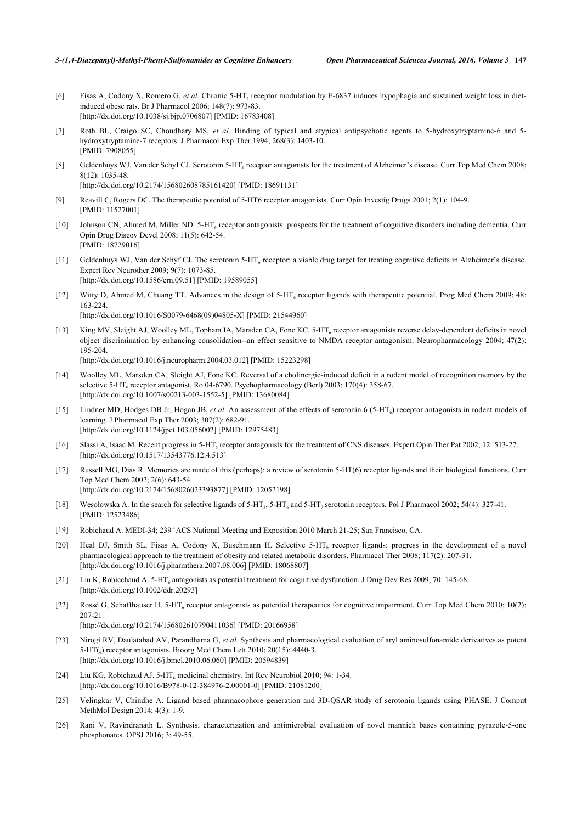- [6] Fisas A, Codony X, Romero G, et al. Chronic 5-HT<sub>6</sub> receptor modulation by E-6837 induces hypophagia and sustained weight loss in dietinduced obese rats. Br J Pharmacol 2006; 148(7): 973-83. [\[http://dx.doi.org/10.1038/sj.bjp.0706807](http://dx.doi.org/10.1038/sj.bjp.0706807)] [PMID: [16783408\]](http://www.ncbi.nlm.nih.gov/pubmed/16783408)
- [7] Roth BL, Craigo SC, Choudhary MS, *et al.* Binding of typical and atypical antipsychotic agents to 5-hydroxytryptamine-6 and 5 hydroxytryptamine-7 receptors. J Pharmacol Exp Ther 1994; 268(3): 1403-10. [PMID: [7908055\]](http://www.ncbi.nlm.nih.gov/pubmed/7908055)
- [8] Geldenhuys WJ, Van der Schyf CJ. Serotonin 5-HT<sub>6</sub> receptor antagonists for the treatment of Alzheimer's disease. Curr Top Med Chem 2008; 8(12): 1035-48.

[\[http://dx.doi.org/10.2174/156802608785161420\]](http://dx.doi.org/10.2174/156802608785161420) [PMID: [18691131](http://www.ncbi.nlm.nih.gov/pubmed/18691131)]

- [9] Reavill C, Rogers DC. The therapeutic potential of 5-HT6 receptor antagonists. Curr Opin Investig Drugs 2001; 2(1): 104-9. [PMID: [11527001\]](http://www.ncbi.nlm.nih.gov/pubmed/11527001)
- [10] Johnson CN, Ahmed M, Miller ND. 5-HT<sub>6</sub> receptor antagonists: prospects for the treatment of cognitive disorders including dementia. Curr Opin Drug Discov Devel 2008; 11(5): 642-54. [PMID: [18729016\]](http://www.ncbi.nlm.nih.gov/pubmed/18729016)
- [11] Geldenhuys WJ, Van der Schyf CJ. The serotonin 5-HT<sub>6</sub> receptor: a viable drug target for treating cognitive deficits in Alzheimer's disease. Expert Rev Neurother 2009; 9(7): 1073-85. [\[http://dx.doi.org/10.1586/ern.09.51](http://dx.doi.org/10.1586/ern.09.51)] [PMID: [19589055\]](http://www.ncbi.nlm.nih.gov/pubmed/19589055)
- [12] Witty D, Ahmed M, Chuang TT. Advances in the design of 5-HT<sub>6</sub> receptor ligands with therapeutic potential. Prog Med Chem 2009; 48: 163-224. [\[http://dx.doi.org/10.1016/S0079-6468\(09\)04805-X\]](http://dx.doi.org/10.1016/S0079-6468(09)04805-X) [PMID: [21544960](http://www.ncbi.nlm.nih.gov/pubmed/21544960)]
- [13] King MV, Sleight AJ, Woolley ML, Topham IA, Marsden CA, Fone KC. 5-HT<sub>6</sub> receptor antagonists reverse delay-dependent deficits in novel object discrimination by enhancing consolidation--an effect sensitive to NMDA receptor antagonism. Neuropharmacology 2004; 47(2): 195-204.

[\[http://dx.doi.org/10.1016/j.neuropharm.2004.03.012\]](http://dx.doi.org/10.1016/j.neuropharm.2004.03.012) [PMID: [15223298](http://www.ncbi.nlm.nih.gov/pubmed/15223298)]

- <span id="page-9-0"></span>[14] Woolley ML, Marsden CA, Sleight AJ, Fone KC. Reversal of a cholinergic-induced deficit in a rodent model of recognition memory by the selective 5-HT<sub>6</sub> receptor antagonist, Ro 04-6790. Psychopharmacology (Berl) 2003; 170(4): 358-67. [\[http://dx.doi.org/10.1007/s00213-003-1552-5\]](http://dx.doi.org/10.1007/s00213-003-1552-5) [PMID: [13680084](http://www.ncbi.nlm.nih.gov/pubmed/13680084)]
- <span id="page-9-1"></span>[15] Lindner MD, Hodges DB Jr, Hogan JB, et al. An assessment of the effects of serotonin 6 (5-HT<sub>6</sub>) receptor antagonists in rodent models of learning. J Pharmacol Exp Ther 2003; 307(2): 682-91. [\[http://dx.doi.org/10.1124/jpet.103.056002\]](http://dx.doi.org/10.1124/jpet.103.056002) [PMID: [12975483](http://www.ncbi.nlm.nih.gov/pubmed/12975483)]
- [16] Slassi A, Isaac M. Recent progress in 5-HT<sub>6</sub> receptor antagonists for the treatment of CNS diseases. Expert Opin Ther Pat 2002; 12: 513-27. [\[http://dx.doi.org/10.1517/13543776.12.4.513\]](http://dx.doi.org/10.1517/13543776.12.4.513)
- [17] Russell MG, Dias R. Memories are made of this (perhaps): a review of serotonin 5-HT(6) receptor ligands and their biological functions. Curr Top Med Chem 2002; 2(6): 643-54. [\[http://dx.doi.org/10.2174/1568026023393877\]](http://dx.doi.org/10.2174/1568026023393877) [PMID: [12052198](http://www.ncbi.nlm.nih.gov/pubmed/12052198)]
- <span id="page-9-2"></span>[18] Wesołowska A. In the search for selective ligands of  $5-HT_5$ ,  $5-HT_6$  and  $5-HT_7$  serotonin receptors. Pol J Pharmacol 2002; 54(4): 327-41. [PMID: [12523486\]](http://www.ncbi.nlm.nih.gov/pubmed/12523486)
- <span id="page-9-3"></span>[19] Robichaud A. MEDI-34; 239<sup>th</sup> ACS National Meeting and Exposition 2010 March 21-25; San Francisco, CA.
- [20] Heal DJ, Smith SL, Fisas A, Codony X, Buschmann H. Selective 5-HT<sub>6</sub> receptor ligands: progress in the development of a novel pharmacological approach to the treatment of obesity and related metabolic disorders. Pharmacol Ther 2008; 117(2): 207-31. [\[http://dx.doi.org/10.1016/j.pharmthera.2007.08.006](http://dx.doi.org/10.1016/j.pharmthera.2007.08.006)] [PMID: [18068807](http://www.ncbi.nlm.nih.gov/pubmed/18068807)]
- [21] Liu K, Robicchaud A. 5-HT<sub>6</sub> antagonists as potential treatment for cognitive dysfunction. J Drug Dev Res 2009; 70: 145-68. [\[http://dx.doi.org/10.1002/ddr.20293](http://dx.doi.org/10.1002/ddr.20293)]
- [22] Rossé G, Schaffhauser H. 5-HT<sub>6</sub> receptor antagonists as potential therapeutics for cognitive impairment. Curr Top Med Chem 2010; 10(2): 207-21.
	- [\[http://dx.doi.org/10.2174/156802610790411036\]](http://dx.doi.org/10.2174/156802610790411036) [PMID: [20166958](http://www.ncbi.nlm.nih.gov/pubmed/20166958)]
- <span id="page-9-4"></span>[23] Nirogi RV, Daulatabad AV, Parandhama G, *et al.* Synthesis and pharmacological evaluation of aryl aminosulfonamide derivatives as potent  $5-\text{HT}$ <sub>(s</sub>) receptor antagonists. Bioorg Med Chem Lett 2010; 20(15): 4440-3. [\[http://dx.doi.org/10.1016/j.bmcl.2010.06.060](http://dx.doi.org/10.1016/j.bmcl.2010.06.060)] [PMID: [20594839\]](http://www.ncbi.nlm.nih.gov/pubmed/20594839)
- <span id="page-9-5"></span>[24] Liu KG, Robichaud AJ. 5-HT<sub>6</sub> medicinal chemistry. Int Rev Neurobiol 2010; 94: 1-34. [\[http://dx.doi.org/10.1016/B978-0-12-384976-2.00001-0](http://dx.doi.org/10.1016/B978-0-12-384976-2.00001-0)] [PMID: [21081200](http://www.ncbi.nlm.nih.gov/pubmed/21081200)]
- <span id="page-9-6"></span>[25] Velingkar V, Chindhe A. Ligand based pharmacophore generation and 3D-QSAR study of serotonin ligands using PHASE. J Comput MethMol Design 2014; 4(3): 1-9.
- [26] Rani V, Ravindranath L. Synthesis, characterization and antimicrobial evaluation of novel mannich bases containing pyrazole-5-one phosphonates. OPSJ 2016; 3: 49-55.